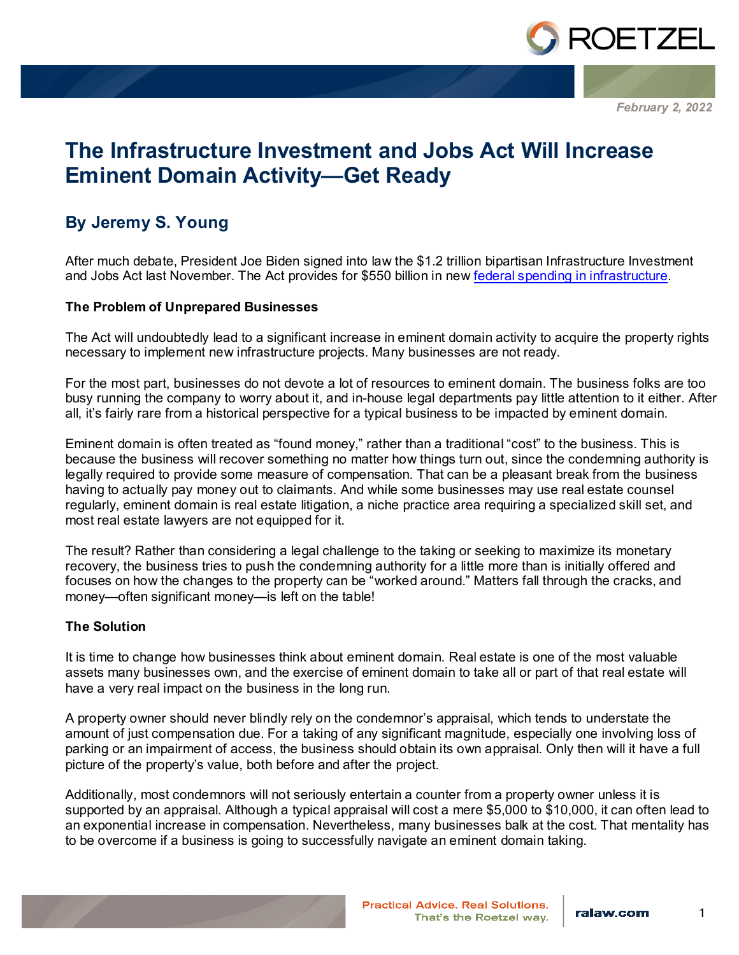

*February 2, 2022*

# **The Infrastructure Investment and Jobs Act Will Increase Eminent Domain Activity—Get Ready**

## **By Jeremy S. Young**

After much debate, President Joe Biden signed into law the \$1.2 trillion bipartisan Infrastructure Investment and Jobs Act last November. The Act provides for \$550 billion in ne[w federal spending in infrastructure.](https://www.ralaw.com/media/insights/alert/h_r_3684_infrastructure_investment_and_jobs_act)

#### **The Problem of Unprepared Businesses**

The Act will undoubtedly lead to a significant increase in eminent domain activity to acquire the property rights necessary to implement new infrastructure projects. Many businesses are not ready.

For the most part, businesses do not devote a lot of resources to eminent domain. The business folks are too busy running the company to worry about it, and in-house legal departments pay little attention to it either. After all, it's fairly rare from a historical perspective for a typical business to be impacted by eminent domain.

Eminent domain is often treated as "found money," rather than a traditional "cost" to the business. This is because the business will recover something no matter how things turn out, since the condemning authority is legally required to provide some measure of compensation. That can be a pleasant break from the business having to actually pay money out to claimants. And while some businesses may use real estate counsel regularly, eminent domain is real estate litigation, a niche practice area requiring a specialized skill set, and most real estate lawyers are not equipped for it.

The result? Rather than considering a legal challenge to the taking or seeking to maximize its monetary recovery, the business tries to push the condemning authority for a little more than is initially offered and focuses on how the changes to the property can be "worked around." Matters fall through the cracks, and money—often significant money—is left on the table!

### **The Solution**

It is time to change how businesses think about eminent domain. Real estate is one of the most valuable assets many businesses own, and the exercise of eminent domain to take all or part of that real estate will have a very real impact on the business in the long run.

A property owner should never blindly rely on the condemnor's appraisal, which tends to understate the amount of just compensation due. For a taking of any significant magnitude, especially one involving loss of parking or an impairment of access, the business should obtain its own appraisal. Only then will it have a full picture of the property's value, both before and after the project.

Additionally, most condemnors will not seriously entertain a counter from a property owner unless it is supported by an appraisal. Although a typical appraisal will cost a mere \$5,000 to \$10,000, it can often lead to an exponential increase in compensation. Nevertheless, many businesses balk at the cost. That mentality has to be overcome if a business is going to successfully navigate an eminent domain taking.